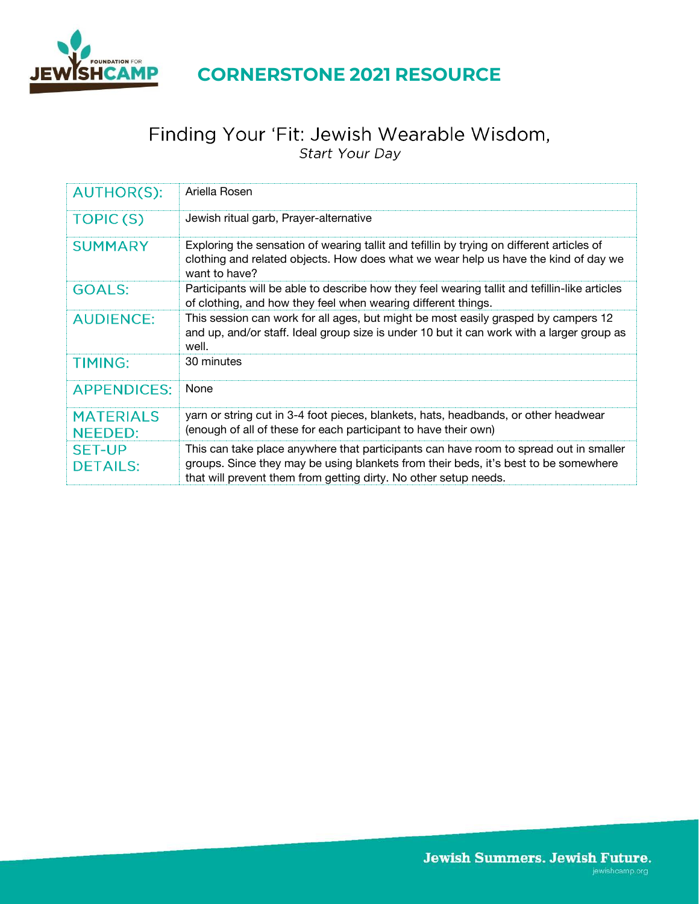

# Finding Your 'Fit: Jewish Wearable Wisdom,<br>Start Your Day

| <b>AUTHOR(S):</b>                  | Ariella Rosen                                                                                                                                                                                                                                    |
|------------------------------------|--------------------------------------------------------------------------------------------------------------------------------------------------------------------------------------------------------------------------------------------------|
| TOPIC(S)                           | Jewish ritual garb, Prayer-alternative                                                                                                                                                                                                           |
| <b>SUMMARY</b>                     | Exploring the sensation of wearing tallit and tefillin by trying on different articles of<br>clothing and related objects. How does what we wear help us have the kind of day we<br>want to have?                                                |
| <b>GOALS:</b>                      | Participants will be able to describe how they feel wearing tallit and tefillin-like articles<br>of clothing, and how they feel when wearing different things.                                                                                   |
| <b>AUDIENCE:</b>                   | This session can work for all ages, but might be most easily grasped by campers 12<br>and up, and/or staff. Ideal group size is under 10 but it can work with a larger group as<br>well.                                                         |
| <b>TIMING:</b>                     | 30 minutes                                                                                                                                                                                                                                       |
| <b>APPENDICES:</b>                 | None                                                                                                                                                                                                                                             |
| <b>MATERIALS</b><br><b>NEEDED:</b> | yarn or string cut in 3-4 foot pieces, blankets, hats, headbands, or other headwear<br>(enough of all of these for each participant to have their own)                                                                                           |
| <b>SET-UP</b><br><b>DETAILS:</b>   | This can take place anywhere that participants can have room to spread out in smaller<br>groups. Since they may be using blankets from their beds, it's best to be somewhere<br>that will prevent them from getting dirty. No other setup needs. |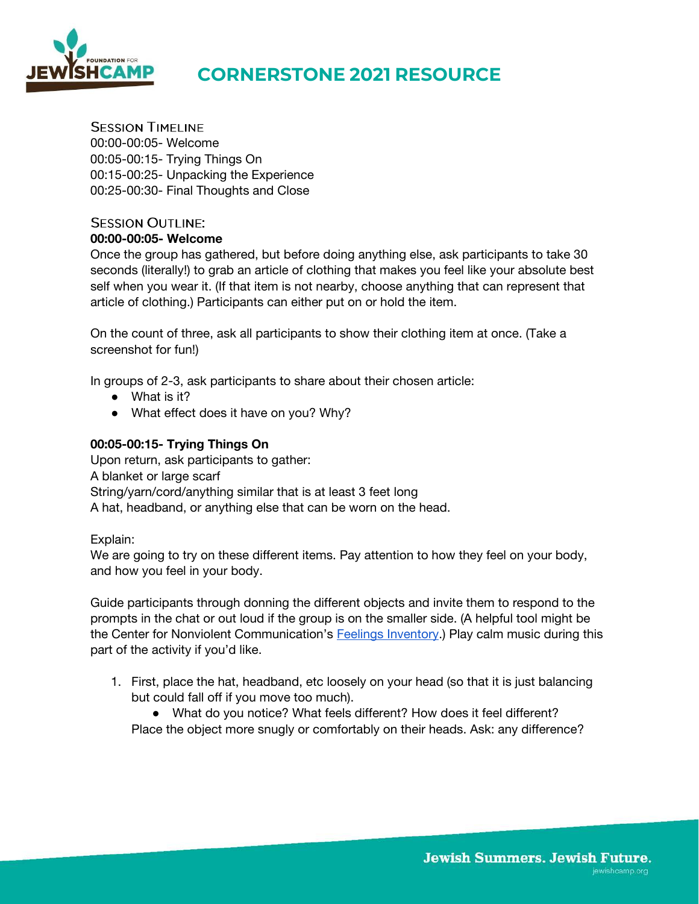

**SESSION TIMELINE** 00:00-00:05- Welcome 00:05-00:15- Trying Things On 00:15-00:25- Unpacking the Experience 00:25-00:30- Final Thoughts and Close

### **SESSION OUTLINE:**

#### **00:00-00:05- Welcome**

Once the group has gathered, but before doing anything else, ask participants to take 30 seconds (literally!) to grab an article of clothing that makes you feel like your absolute best self when you wear it. (If that item is not nearby, choose anything that can represent that article of clothing.) Participants can either put on or hold the item.

On the count of three, ask all participants to show their clothing item at once. (Take a screenshot for fun!)

In groups of 2-3, ask participants to share about their chosen article:

- What is it?
- What effect does it have on you? Why?

#### **00:05-00:15- Trying Things On**

Upon return, ask participants to gather: A blanket or large scarf String/yarn/cord/anything similar that is at least 3 feet long A hat, headband, or anything else that can be worn on the head.

#### Explain:

We are going to try on these different items. Pay attention to how they feel on your body, and how you feel in your body.

Guide participants through donning the different objects and invite them to respond to the prompts in the chat or out loud if the group is on the smaller side. (A helpful tool might be the Center for Nonviolent Communication's **Feelings Inventory**.) Play calm music during this part of the activity if you'd like.

1. First, place the hat, headband, etc loosely on your head (so that it is just balancing but could fall off if you move too much).

● What do you notice? What feels different? How does it feel different? Place the object more snugly or comfortably on their heads. Ask: any difference?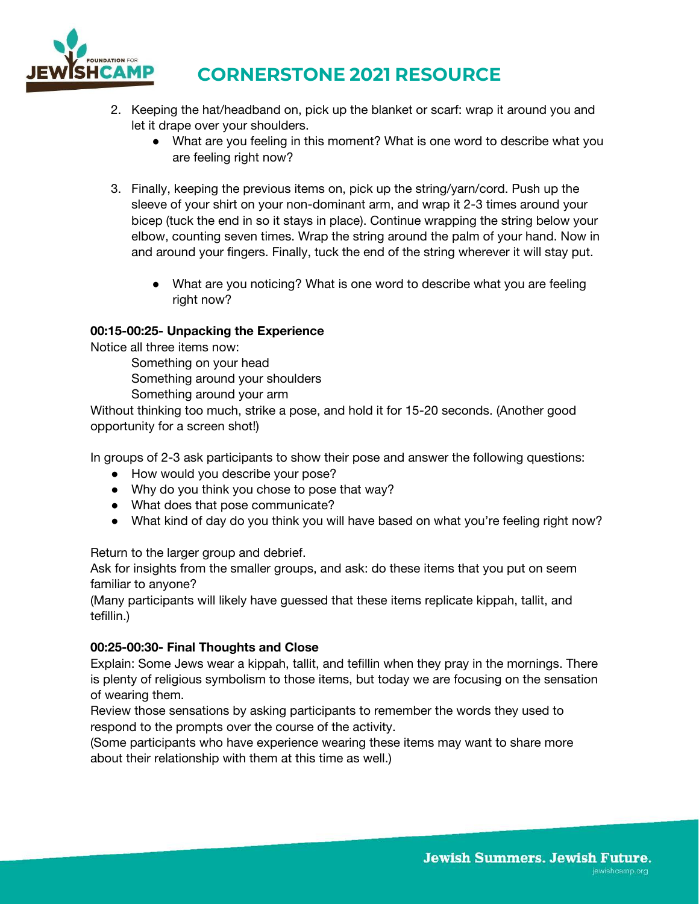

- 2. Keeping the hat/headband on, pick up the blanket or scarf: wrap it around you and let it drape over your shoulders.
	- What are you feeling in this moment? What is one word to describe what you are feeling right now?
- 3. Finally, keeping the previous items on, pick up the string/yarn/cord. Push up the sleeve of your shirt on your non-dominant arm, and wrap it 2-3 times around your bicep (tuck the end in so it stays in place). Continue wrapping the string below your elbow, counting seven times. Wrap the string around the palm of your hand. Now in and around your fingers. Finally, tuck the end of the string wherever it will stay put.
	- What are you noticing? What is one word to describe what you are feeling right now?

#### **00:15-00:25- Unpacking the Experience**

Notice all three items now:

Something on your head Something around your shoulders

Something around your arm

Without thinking too much, strike a pose, and hold it for 15-20 seconds. (Another good opportunity for a screen shot!)

In groups of 2-3 ask participants to show their pose and answer the following questions:

- How would you describe your pose?
- Why do you think you chose to pose that way?
- What does that pose communicate?
- What kind of day do you think you will have based on what you're feeling right now?

Return to the larger group and debrief.

Ask for insights from the smaller groups, and ask: do these items that you put on seem familiar to anyone?

(Many participants will likely have guessed that these items replicate kippah, tallit, and tefillin.)

#### **00:25-00:30- Final Thoughts and Close**

Explain: Some Jews wear a kippah, tallit, and tefillin when they pray in the mornings. There is plenty of religious symbolism to those items, but today we are focusing on the sensation of wearing them.

Review those sensations by asking participants to remember the words they used to respond to the prompts over the course of the activity.

(Some participants who have experience wearing these items may want to share more about their relationship with them at this time as well.)